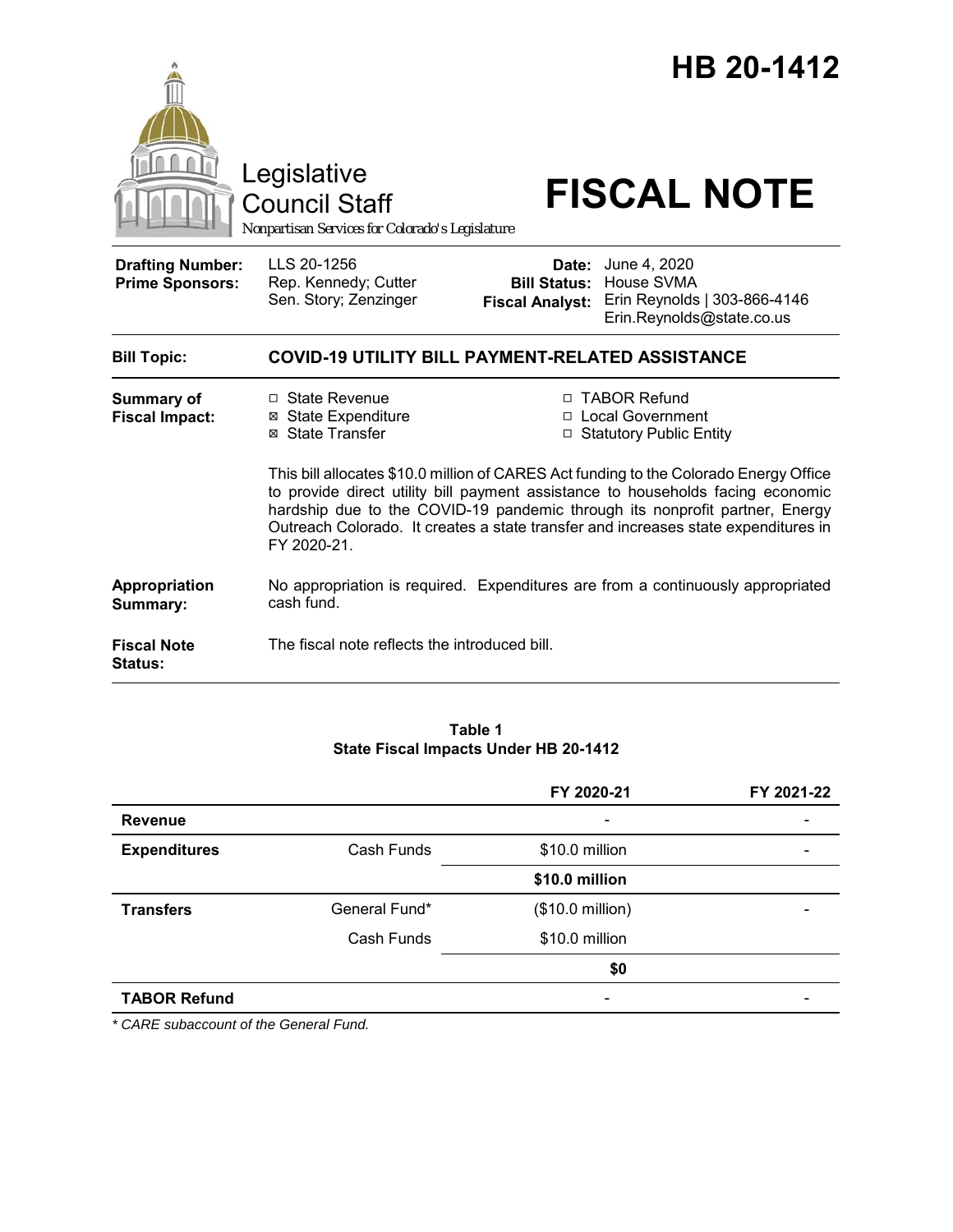

Council Staff

# Legislative<br>
Council Staff **FISCAL NOTE**

*Nonpartisan Services for Colorado's Legislature*

| <b>Drafting Number:</b><br><b>Prime Sponsors:</b> | LLS 20-1256<br>Rep. Kennedy; Cutter<br>Sen. Story; Zenzinger                     | Date:<br><b>Bill Status:</b><br><b>Fiscal Analyst:</b> | June 4, 2020<br>House SVMA<br>Erin Reynolds   303-866-4146<br>Erin.Reynolds@state.co.us                                                                                                                                                                                                                                                                                                                            |  |  |
|---------------------------------------------------|----------------------------------------------------------------------------------|--------------------------------------------------------|--------------------------------------------------------------------------------------------------------------------------------------------------------------------------------------------------------------------------------------------------------------------------------------------------------------------------------------------------------------------------------------------------------------------|--|--|
| <b>Bill Topic:</b>                                | <b>COVID-19 UTILITY BILL PAYMENT-RELATED ASSISTANCE</b>                          |                                                        |                                                                                                                                                                                                                                                                                                                                                                                                                    |  |  |
| Summary of<br><b>Fiscal Impact:</b>               | □ State Revenue<br><b>⊠ State Expenditure</b><br>⊠ State Transfer<br>FY 2020-21. |                                                        | □ TABOR Refund<br>□ Local Government<br>□ Statutory Public Entity<br>This bill allocates \$10.0 million of CARES Act funding to the Colorado Energy Office<br>to provide direct utility bill payment assistance to households facing economic<br>hardship due to the COVID-19 pandemic through its nonprofit partner, Energy<br>Outreach Colorado. It creates a state transfer and increases state expenditures in |  |  |
| Appropriation<br>Summary:                         | cash fund.                                                                       |                                                        | No appropriation is required. Expenditures are from a continuously appropriated                                                                                                                                                                                                                                                                                                                                    |  |  |
| <b>Fiscal Note</b><br><b>Status:</b>              | The fiscal note reflects the introduced bill.                                    |                                                        |                                                                                                                                                                                                                                                                                                                                                                                                                    |  |  |

#### **Table 1 State Fiscal Impacts Under HB 20-1412**

|                     |               | FY 2020-21               | FY 2021-22 |
|---------------------|---------------|--------------------------|------------|
| <b>Revenue</b>      |               | $\overline{\phantom{a}}$ |            |
| <b>Expenditures</b> | Cash Funds    | \$10.0 million           |            |
|                     |               | \$10.0 million           |            |
| <b>Transfers</b>    | General Fund* | (\$10.0 million)         |            |
|                     | Cash Funds    | \$10.0 million           |            |
|                     |               | \$0                      |            |
| <b>TABOR Refund</b> |               |                          |            |

*\* CARE subaccount of the General Fund.*